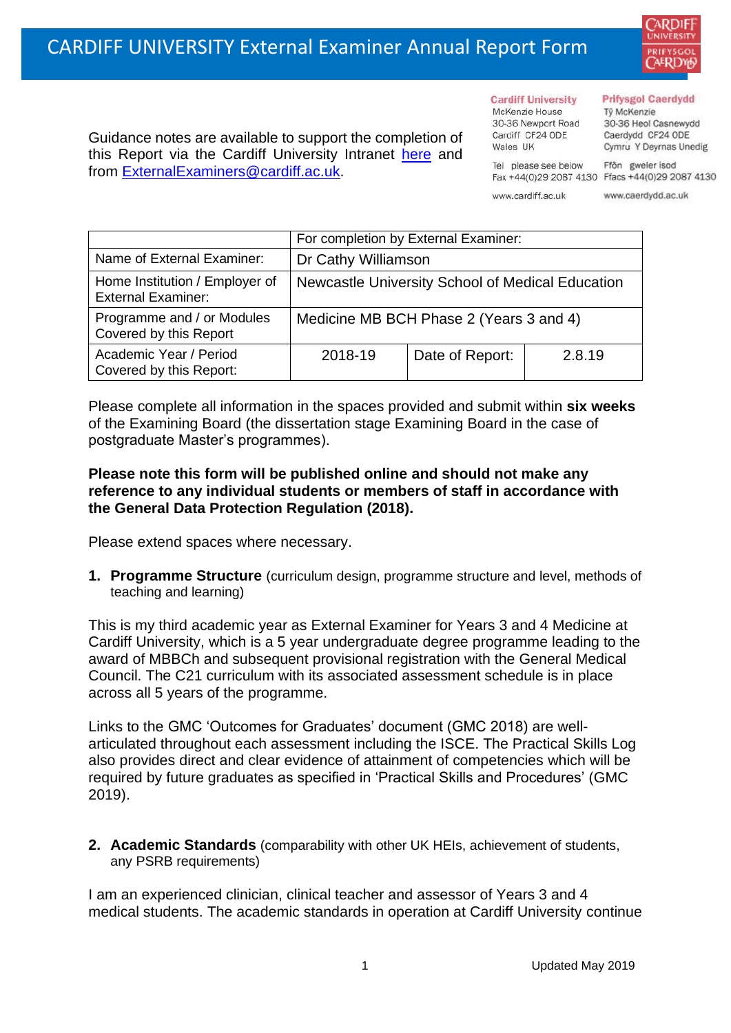

Guidance notes are available to support the completion of this Report via the Cardiff University Intranet [here](https://intranet.cardiff.ac.uk/staff/teaching-and-supporting-students/exams-and-assessment/exam-boards-and-external-examiners/for-current-external-examiners/external-examiners-reports) and from [ExternalExaminers@cardiff.ac.uk.](mailto:ExternalExaminers@cardiff.ac.uk)

**Cardiff University** McKenzie House 30-36 Newport Road Cardiff CF24 ODE

Tel please see below

www.cardiff.ac.uk

Wales UK

## **Prifysgol Caerdydd**

Từ McKenzie 30-36 Heol Casnewydd Caerdydd CF24 ODE Cymru Y Deyrnas Unedig

Ffôn gweler isod Fax +44(0)29 2087 4130 Ffacs +44(0)29 2087 4130

www.caerdydd.ac.uk

|                                                             | For completion by External Examiner:             |                 |        |  |
|-------------------------------------------------------------|--------------------------------------------------|-----------------|--------|--|
| Name of External Examiner:                                  | Dr Cathy Williamson                              |                 |        |  |
| Home Institution / Employer of<br><b>External Examiner:</b> | Newcastle University School of Medical Education |                 |        |  |
| Programme and / or Modules<br>Covered by this Report        | Medicine MB BCH Phase 2 (Years 3 and 4)          |                 |        |  |
| Academic Year / Period<br>Covered by this Report:           | 2018-19                                          | Date of Report: | 2.8.19 |  |

Please complete all information in the spaces provided and submit within **six weeks** of the Examining Board (the dissertation stage Examining Board in the case of postgraduate Master's programmes).

## **Please note this form will be published online and should not make any reference to any individual students or members of staff in accordance with the General Data Protection Regulation (2018).**

Please extend spaces where necessary.

**1. Programme Structure** (curriculum design, programme structure and level, methods of teaching and learning)

This is my third academic year as External Examiner for Years 3 and 4 Medicine at Cardiff University, which is a 5 year undergraduate degree programme leading to the award of MBBCh and subsequent provisional registration with the General Medical Council. The C21 curriculum with its associated assessment schedule is in place across all 5 years of the programme.

Links to the GMC 'Outcomes for Graduates' document (GMC 2018) are wellarticulated throughout each assessment including the ISCE. The Practical Skills Log also provides direct and clear evidence of attainment of competencies which will be required by future graduates as specified in 'Practical Skills and Procedures' (GMC 2019).

**2. Academic Standards** (comparability with other UK HEIs, achievement of students, any PSRB requirements)

I am an experienced clinician, clinical teacher and assessor of Years 3 and 4 medical students. The academic standards in operation at Cardiff University continue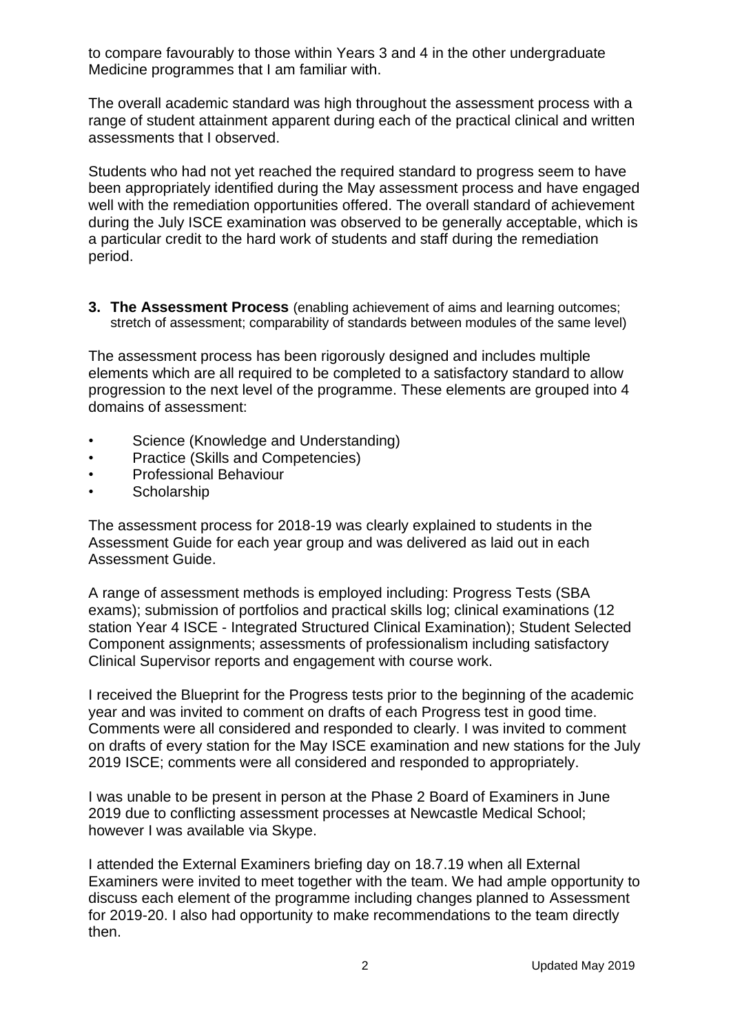to compare favourably to those within Years 3 and 4 in the other undergraduate Medicine programmes that I am familiar with.

The overall academic standard was high throughout the assessment process with a range of student attainment apparent during each of the practical clinical and written assessments that I observed.

Students who had not yet reached the required standard to progress seem to have been appropriately identified during the May assessment process and have engaged well with the remediation opportunities offered. The overall standard of achievement during the July ISCE examination was observed to be generally acceptable, which is a particular credit to the hard work of students and staff during the remediation period.

**3. The Assessment Process** (enabling achievement of aims and learning outcomes; stretch of assessment; comparability of standards between modules of the same level)

The assessment process has been rigorously designed and includes multiple elements which are all required to be completed to a satisfactory standard to allow progression to the next level of the programme. These elements are grouped into 4 domains of assessment:

- Science (Knowledge and Understanding)
- Practice (Skills and Competencies)
- Professional Behaviour
- Scholarship

The assessment process for 2018-19 was clearly explained to students in the Assessment Guide for each year group and was delivered as laid out in each Assessment Guide.

A range of assessment methods is employed including: Progress Tests (SBA exams); submission of portfolios and practical skills log; clinical examinations (12 station Year 4 ISCE - Integrated Structured Clinical Examination); Student Selected Component assignments; assessments of professionalism including satisfactory Clinical Supervisor reports and engagement with course work.

I received the Blueprint for the Progress tests prior to the beginning of the academic year and was invited to comment on drafts of each Progress test in good time. Comments were all considered and responded to clearly. I was invited to comment on drafts of every station for the May ISCE examination and new stations for the July 2019 ISCE; comments were all considered and responded to appropriately.

I was unable to be present in person at the Phase 2 Board of Examiners in June 2019 due to conflicting assessment processes at Newcastle Medical School; however I was available via Skype.

I attended the External Examiners briefing day on 18.7.19 when all External Examiners were invited to meet together with the team. We had ample opportunity to discuss each element of the programme including changes planned to Assessment for 2019-20. I also had opportunity to make recommendations to the team directly then.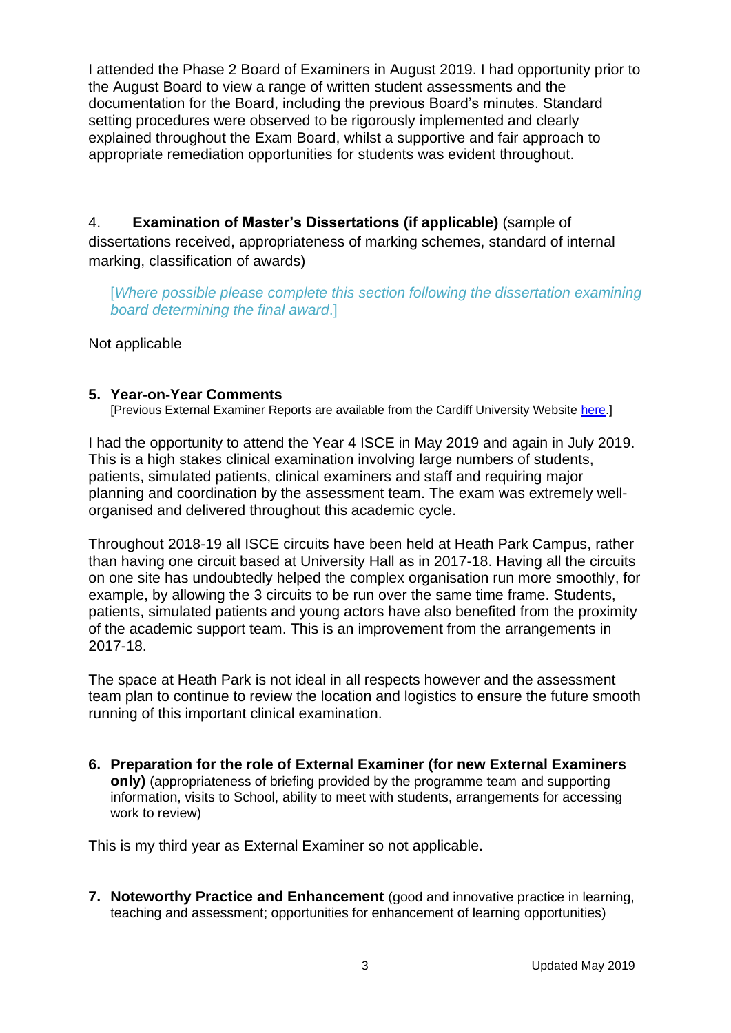I attended the Phase 2 Board of Examiners in August 2019. I had opportunity prior to the August Board to view a range of written student assessments and the documentation for the Board, including the previous Board's minutes. Standard setting procedures were observed to be rigorously implemented and clearly explained throughout the Exam Board, whilst a supportive and fair approach to appropriate remediation opportunities for students was evident throughout.

4. **Examination of Master's Dissertations (if applicable)** (sample of dissertations received, appropriateness of marking schemes, standard of internal marking, classification of awards)

[*Where possible please complete this section following the dissertation examining board determining the final award*.]

Not applicable

## **5. Year-on-Year Comments**

[Previous External Examiner Reports are available from the Cardiff University Website [here.](https://www.cardiff.ac.uk/public-information/quality-and-standards/external-examiner-reports)]

I had the opportunity to attend the Year 4 ISCE in May 2019 and again in July 2019. This is a high stakes clinical examination involving large numbers of students, patients, simulated patients, clinical examiners and staff and requiring major planning and coordination by the assessment team. The exam was extremely wellorganised and delivered throughout this academic cycle.

Throughout 2018-19 all ISCE circuits have been held at Heath Park Campus, rather than having one circuit based at University Hall as in 2017-18. Having all the circuits on one site has undoubtedly helped the complex organisation run more smoothly, for example, by allowing the 3 circuits to be run over the same time frame. Students, patients, simulated patients and young actors have also benefited from the proximity of the academic support team. This is an improvement from the arrangements in 2017-18.

The space at Heath Park is not ideal in all respects however and the assessment team plan to continue to review the location and logistics to ensure the future smooth running of this important clinical examination.

**6. Preparation for the role of External Examiner (for new External Examiners only)** (appropriateness of briefing provided by the programme team and supporting information, visits to School, ability to meet with students, arrangements for accessing work to review)

This is my third year as External Examiner so not applicable.

**7. Noteworthy Practice and Enhancement** (good and innovative practice in learning, teaching and assessment; opportunities for enhancement of learning opportunities)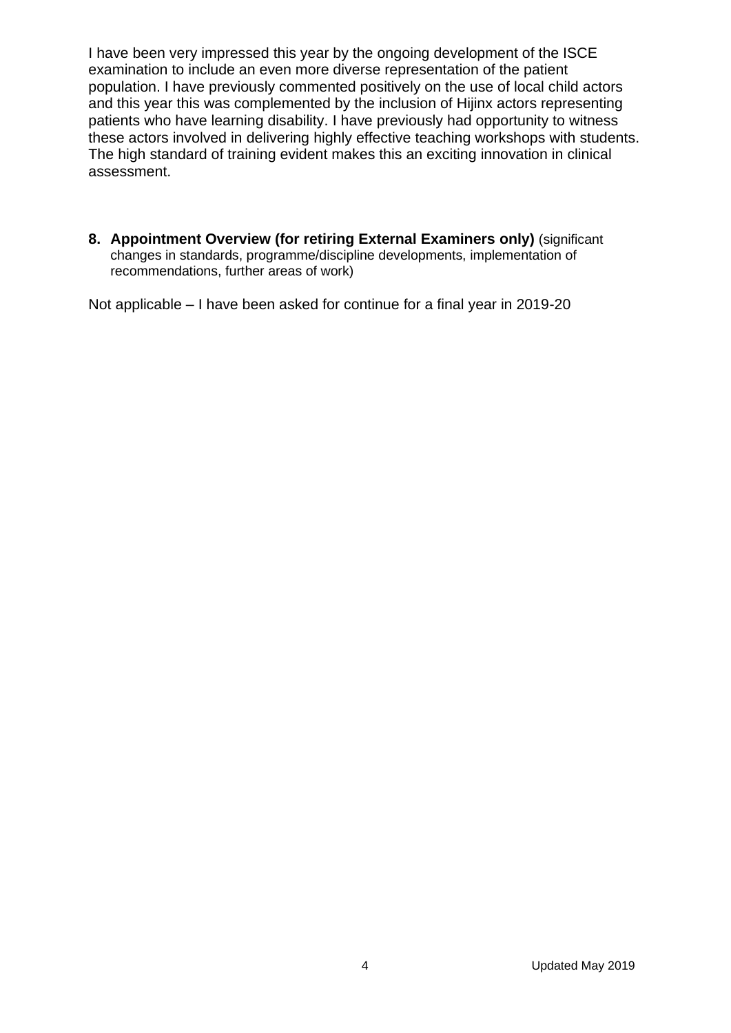I have been very impressed this year by the ongoing development of the ISCE examination to include an even more diverse representation of the patient population. I have previously commented positively on the use of local child actors and this year this was complemented by the inclusion of Hijinx actors representing patients who have learning disability. I have previously had opportunity to witness these actors involved in delivering highly effective teaching workshops with students. The high standard of training evident makes this an exciting innovation in clinical assessment.

**8. Appointment Overview (for retiring External Examiners only)** (significant changes in standards, programme/discipline developments, implementation of recommendations, further areas of work)

Not applicable – I have been asked for continue for a final year in 2019-20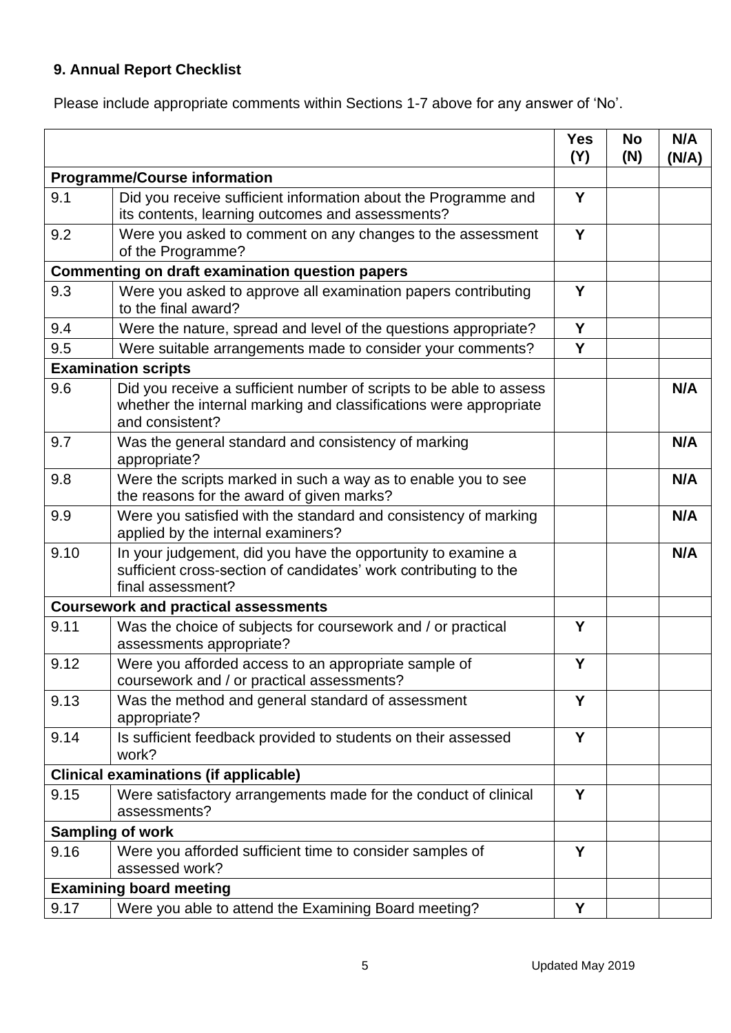## **9. Annual Report Checklist**

Please include appropriate comments within Sections 1-7 above for any answer of 'No'.

|                                                        |                                                                                                                                                             | <b>Yes</b><br>(Y) | <b>No</b><br>(N) | N/A<br>(N/A) |
|--------------------------------------------------------|-------------------------------------------------------------------------------------------------------------------------------------------------------------|-------------------|------------------|--------------|
| <b>Programme/Course information</b>                    |                                                                                                                                                             |                   |                  |              |
| 9.1                                                    | Did you receive sufficient information about the Programme and<br>its contents, learning outcomes and assessments?                                          | Y                 |                  |              |
| 9.2                                                    | Were you asked to comment on any changes to the assessment<br>of the Programme?                                                                             | Y                 |                  |              |
| <b>Commenting on draft examination question papers</b> |                                                                                                                                                             |                   |                  |              |
| 9.3                                                    | Were you asked to approve all examination papers contributing<br>to the final award?                                                                        | Y                 |                  |              |
| 9.4                                                    | Were the nature, spread and level of the questions appropriate?                                                                                             | Y                 |                  |              |
| 9.5                                                    | Were suitable arrangements made to consider your comments?                                                                                                  | Y                 |                  |              |
|                                                        | <b>Examination scripts</b>                                                                                                                                  |                   |                  |              |
| 9.6                                                    | Did you receive a sufficient number of scripts to be able to assess<br>whether the internal marking and classifications were appropriate<br>and consistent? |                   |                  | N/A          |
| 9.7                                                    | Was the general standard and consistency of marking<br>appropriate?                                                                                         |                   |                  | N/A          |
| 9.8                                                    | Were the scripts marked in such a way as to enable you to see<br>the reasons for the award of given marks?                                                  |                   |                  | N/A          |
| 9.9                                                    | Were you satisfied with the standard and consistency of marking<br>applied by the internal examiners?                                                       |                   |                  | N/A          |
| 9.10                                                   | In your judgement, did you have the opportunity to examine a<br>sufficient cross-section of candidates' work contributing to the<br>final assessment?       |                   |                  | N/A          |
|                                                        | <b>Coursework and practical assessments</b>                                                                                                                 |                   |                  |              |
| 9.11                                                   | Was the choice of subjects for coursework and / or practical<br>assessments appropriate?                                                                    | Y                 |                  |              |
| 9.12                                                   | Were you afforded access to an appropriate sample of<br>coursework and / or practical assessments?                                                          | Y                 |                  |              |
| 9.13                                                   | Was the method and general standard of assessment<br>appropriate?                                                                                           | Y                 |                  |              |
| 9.14                                                   | Is sufficient feedback provided to students on their assessed<br>work?                                                                                      | Y                 |                  |              |
|                                                        | <b>Clinical examinations (if applicable)</b>                                                                                                                |                   |                  |              |
| 9.15                                                   | Were satisfactory arrangements made for the conduct of clinical<br>assessments?                                                                             | Y                 |                  |              |
| <b>Sampling of work</b>                                |                                                                                                                                                             |                   |                  |              |
| 9.16                                                   | Were you afforded sufficient time to consider samples of<br>assessed work?                                                                                  | Y                 |                  |              |
|                                                        | <b>Examining board meeting</b>                                                                                                                              |                   |                  |              |
| 9.17                                                   | Were you able to attend the Examining Board meeting?                                                                                                        | Υ                 |                  |              |